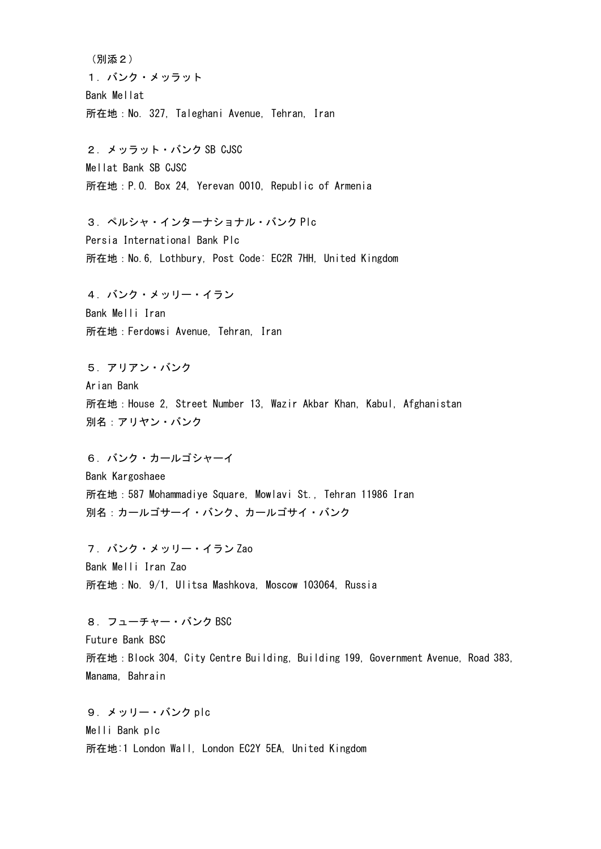(別添2) 1.バンク・メッラット Bank Mellat 所在地:No. 327, Taleghani Avenue, Tehran, Iran

2.メッラット・バンク SB CJSC Mellat Bank SB CJSC 所在地:P.O. Box 24, Yerevan 0010, Republic of Armenia

3.ペルシャ・インターナショナル・バンク Plc Persia International Bank Plc 所在地:No.6, Lothbury, Post Code: EC2R 7HH, United Kingdom

4.バンク・メッリー・イラン Bank Melli Iran 所在地:Ferdowsi Avenue, Tehran, Iran

5.アリアン・バンク Arian Bank 所在地:House 2, Street Number 13, Wazir Akbar Khan, Kabul, Afghanistan 別名:アリヤン・バンク

6.バンク・カールゴシャーイ Bank Kargoshaee 所在地:587 Mohammadiye Square, Mowlavi St., Tehran 11986 Iran 別名:カールゴサーイ・バンク、カールゴサイ・バンク

7.バンク・メッリー・イラン Zao Bank Melli Iran Zao 所在地:No. 9/1, Ulitsa Mashkova, Moscow 103064, Russia

8.フューチャー・バンク BSC Future Bank BSC 所在地:Block 304, City Centre Building, Building 199, Government Avenue, Road 383, Manama, Bahrain

9.メッリー・バンク plc Melli Bank plc 所在地:1 London Wall, London EC2Y 5EA, United Kingdom